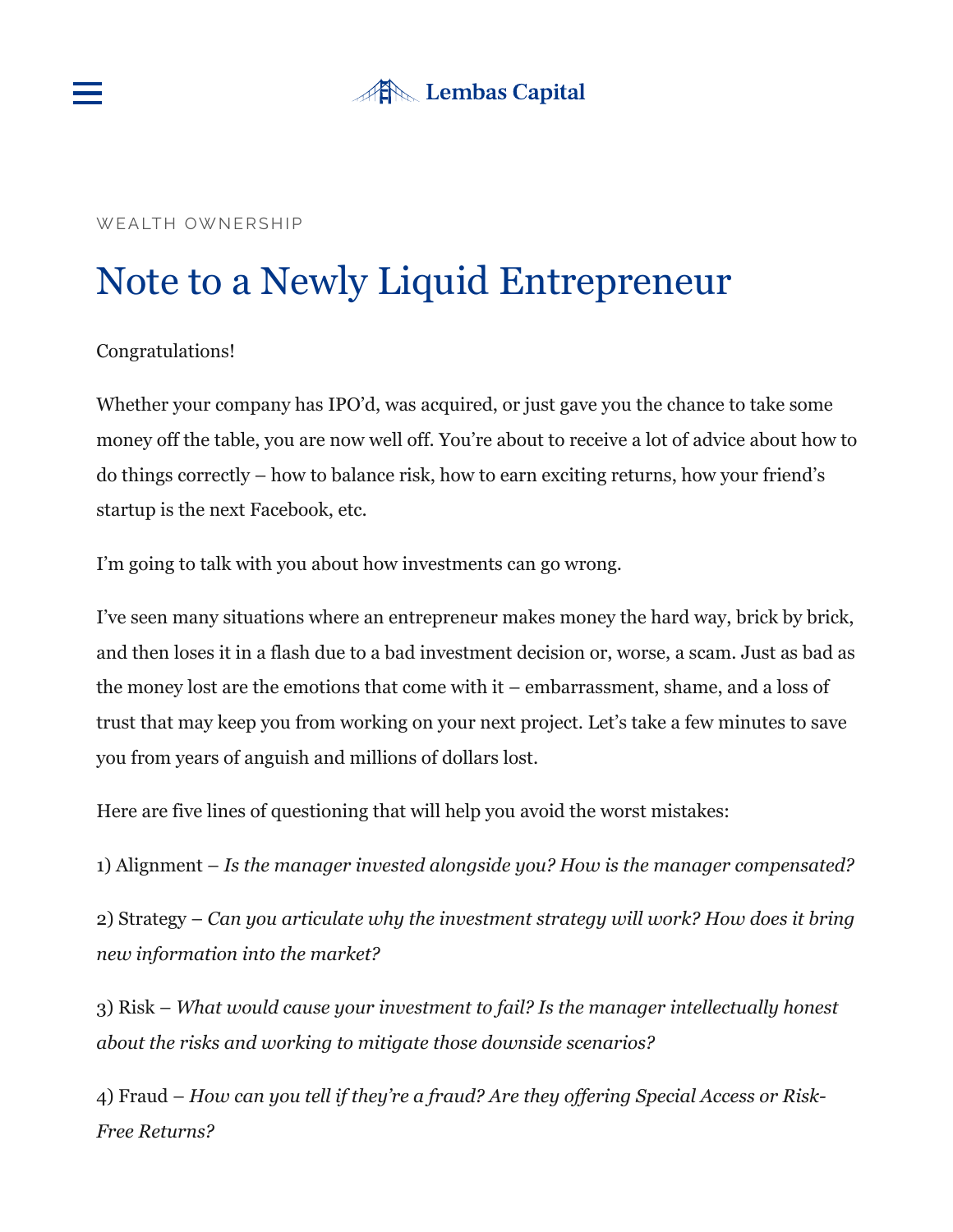

# **After Lembas Capital**

#### WEALTH OWNERSHIP

# Note to a Newly Liquid Entrepreneur

#### Congratulations!

Whether your company has IPO'd, was acquired, or just gave you the chance to take some money off the table, you are now well off. You're about to receive a lot of advice about how to do things correctly – how to balance risk, how to earn exciting returns, how your friend's startup is the next Facebook, etc.

I'm going to talk with you about how investments can go wrong.

I've seen many situations where an entrepreneur makes money the hard way, brick by brick, and then loses it in a flash due to a bad investment decision or, worse, a scam. Just as bad as the money lost are the emotions that come with it – embarrassment, shame, and a loss of trust that may keep you from working on your next project. Let's take a few minutes to save you from years of anguish and millions of dollars lost.

Here are five lines of questioning that will help you avoid the worst mistakes:

1) Alignment – *Is the manager invested alongside you? How is the manager compensated?*

2) Strategy – *Can you articulate why the investment strategy will work? How does it bring new information into the market?*

3) Risk – *What would cause your investment to fail? Is the manager intellectually honest about the risks and working to mitigate those downside scenarios?*

4) Fraud – *How can you tell if they're a fraud? Are they offering Special Access or Risk-Free Returns?*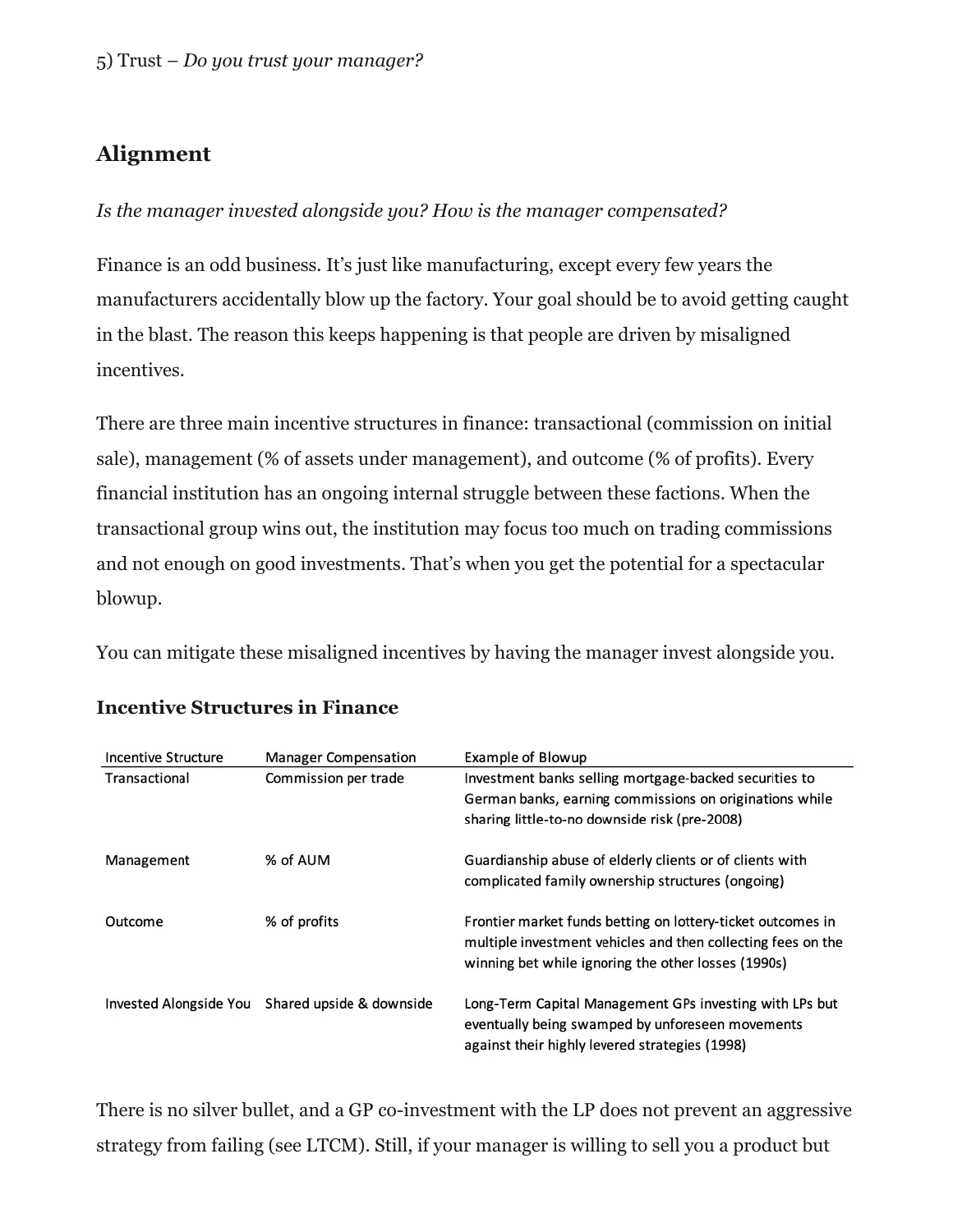# **Alignment**

#### *Is the manager invested alongside you? How is the manager compensated?*

Finance is an odd business. It's just like manufacturing, except every few years the manufacturers accidentally blow up the factory. Your goal should be to avoid getting caught in the blast. The reason this keeps happening is that people are driven by misaligned incentives.

There are three main incentive structures in finance: transactional (commission on initial sale), management (% of assets under management), and outcome (% of profits). Every financial institution has an ongoing internal struggle between these factions. When the transactional group wins out, the institution may focus too much on trading commissions and not enough on good investments. That's when you get the potential for a spectacular blowup.

You can mitigate these misaligned incentives by having the manager invest alongside you.

| Incentive Structure    | <b>Manager Compensation</b> | Example of Blowup                                                                                                                                                                  |
|------------------------|-----------------------------|------------------------------------------------------------------------------------------------------------------------------------------------------------------------------------|
| Transactional          | Commission per trade        | Investment banks selling mortgage-backed securities to<br>German banks, earning commissions on originations while<br>sharing little-to-no downside risk (pre-2008)                 |
| Management             | % of AUM                    | Guardianship abuse of elderly clients or of clients with<br>complicated family ownership structures (ongoing)                                                                      |
| Outcome                | % of profits                | Frontier market funds betting on lottery-ticket outcomes in<br>multiple investment vehicles and then collecting fees on the<br>winning bet while ignoring the other losses (1990s) |
| Invested Alongside You | Shared upside & downside    | Long-Term Capital Management GPs investing with LPs but<br>eventually being swamped by unforeseen movements<br>against their highly levered strategies (1998)                      |

#### **Incentive Structures in Finance**

There is no silver bullet, and a GP co-investment with the LP does not prevent an aggressive strategy from failing (see LTCM). Still, if your manager is willing to sell you a product but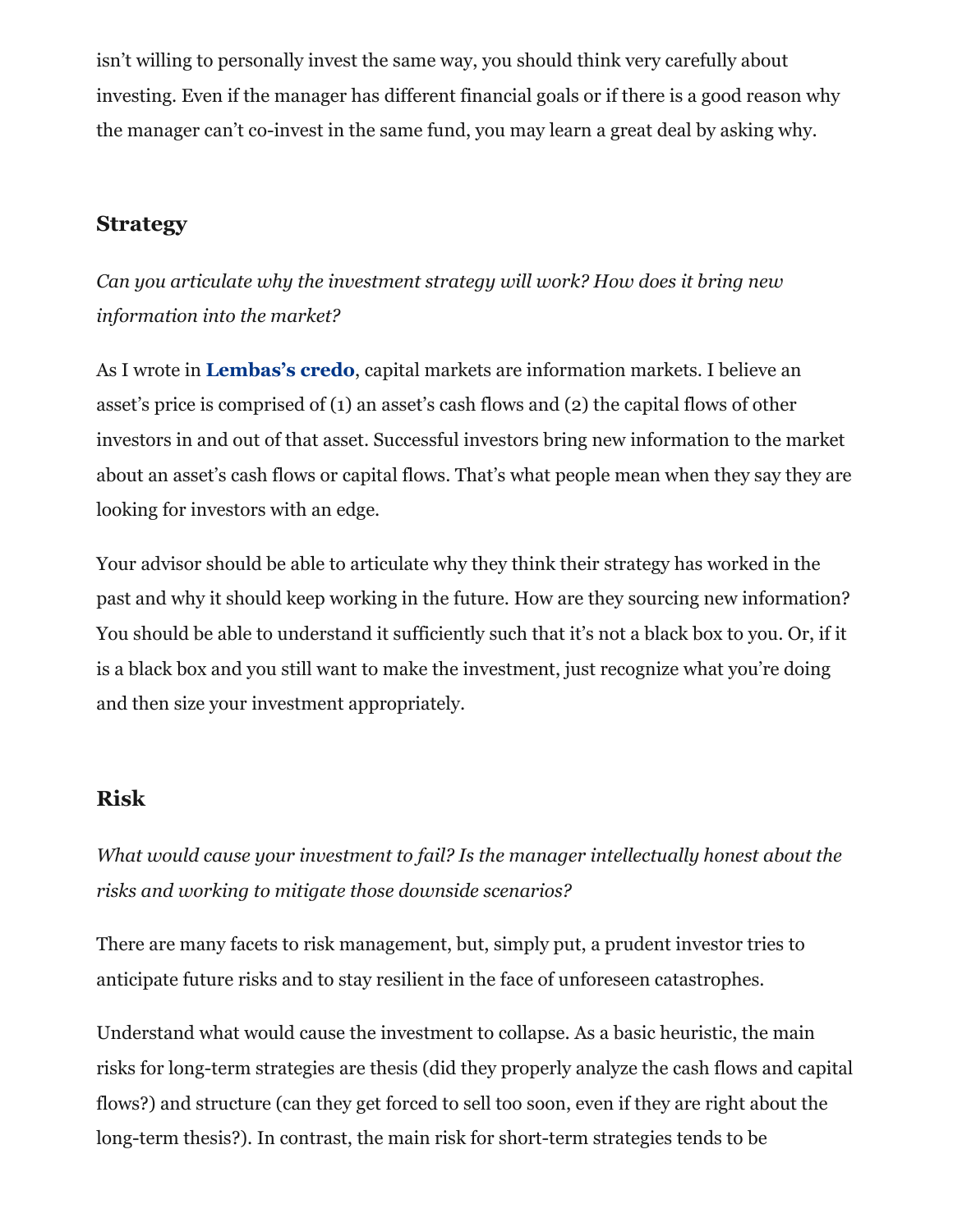isn't willing to personally invest the same way, you should think very carefully about investing. Even if the manager has different financial goals or if there is a good reason why the manager can't co-invest in the same fund, you may learn a great deal by asking why.

## **Strategy**

*Can you articulate why the investment strategy will work? How does it bring new information into the market?*

As I wrote in **[Lembas's credo](https://lembascapital.com/credo)**, capital markets are information markets. I believe an asset's price is comprised of (1) an asset's cash flows and (2) the capital flows of other investors in and out of that asset. Successful investors bring new information to the market about an asset's cash flows or capital flows. That's what people mean when they say they are looking for investors with an edge.

Your advisor should be able to articulate why they think their strategy has worked in the past and why it should keep working in the future. How are they sourcing new information? You should be able to understand it sufficiently such that it's not a black box to you. Or, if it is a black box and you still want to make the investment, just recognize what you're doing and then size your investment appropriately.

## **Risk**

*What would cause your investment to fail? Is the manager intellectually honest about the risks and working to mitigate those downside scenarios?*

There are many facets to risk management, but, simply put, a prudent investor tries to anticipate future risks and to stay resilient in the face of unforeseen catastrophes.

Understand what would cause the investment to collapse. As a basic heuristic, the main risks for long-term strategies are thesis (did they properly analyze the cash flows and capital flows?) and structure (can they get forced to sell too soon, even if they are right about the long-term thesis?). In contrast, the main risk for short-term strategies tends to be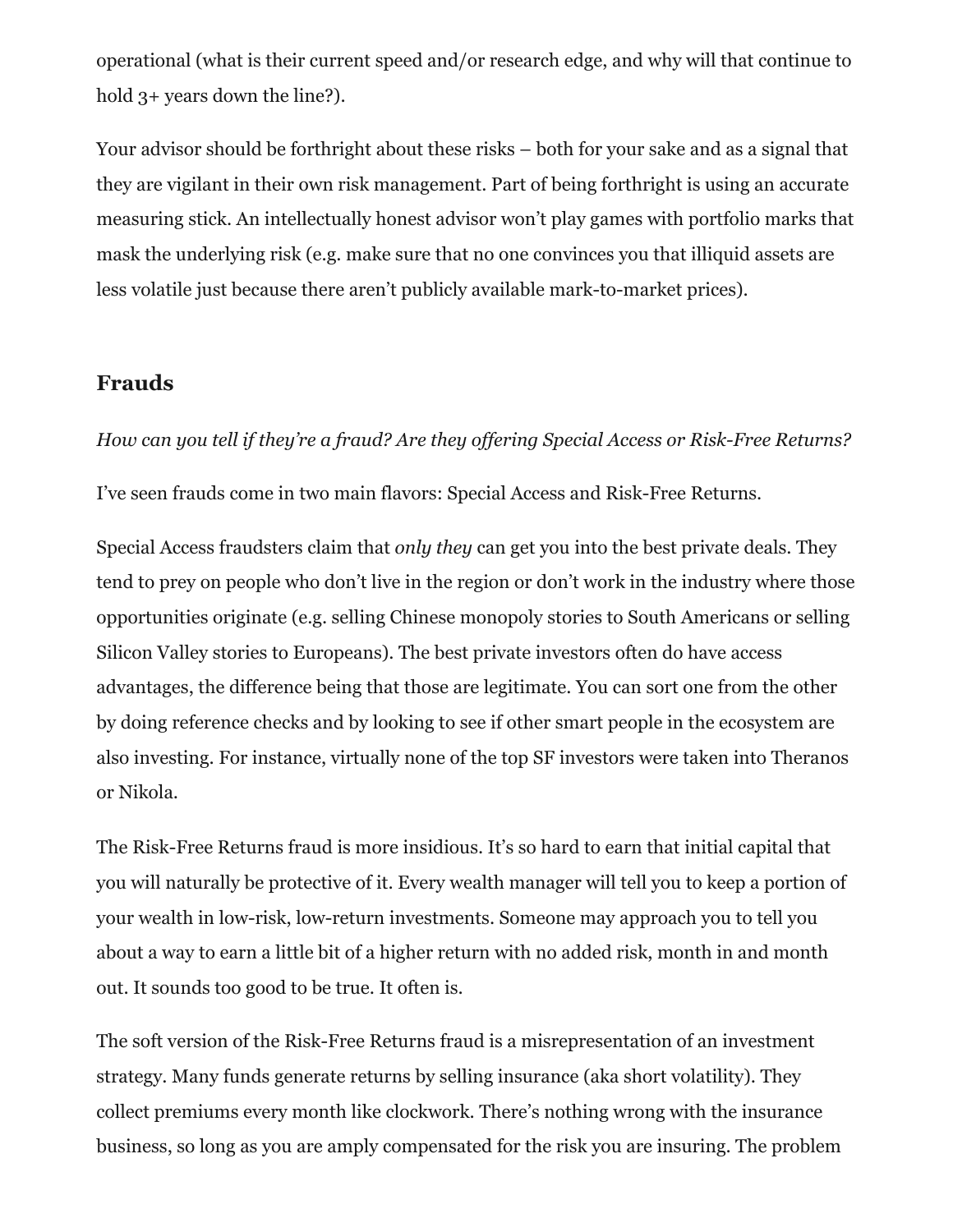operational (what is their current speed and/or research edge, and why will that continue to hold  $3+$  years down the line?).

Your advisor should be forthright about these risks – both for your sake and as a signal that they are vigilant in their own risk management. Part of being forthright is using an accurate measuring stick. An intellectually honest advisor won't play games with portfolio marks that mask the underlying risk (e.g. make sure that no one convinces you that illiquid assets are less volatile just because there aren't publicly available mark-to-market prices).

#### **Frauds**

*How can you tell if they're a fraud? Are they offering Special Access or Risk-Free Returns?* I've seen frauds come in two main flavors: Special Access and Risk-Free Returns.

Special Access fraudsters claim that *only they* can get you into the best private deals. They tend to prey on people who don't live in the region or don't work in the industry where those opportunities originate (e.g. selling Chinese monopoly stories to South Americans or selling Silicon Valley stories to Europeans). The best private investors often do have access advantages, the difference being that those are legitimate. You can sort one from the other by doing reference checks and by looking to see if other smart people in the ecosystem are also investing. For instance, virtually none of the top SF investors were taken into Theranos or Nikola.

The Risk-Free Returns fraud is more insidious. It's so hard to earn that initial capital that you will naturally be protective of it. Every wealth manager will tell you to keep a portion of your wealth in low-risk, low-return investments. Someone may approach you to tell you about a way to earn a little bit of a higher return with no added risk, month in and month out. It sounds too good to be true. It often is.

The soft version of the Risk-Free Returns fraud is a misrepresentation of an investment strategy. Many funds generate returns by selling insurance (aka short volatility). They collect premiums every month like clockwork. There's nothing wrong with the insurance business, so long as you are amply compensated for the risk you are insuring. The problem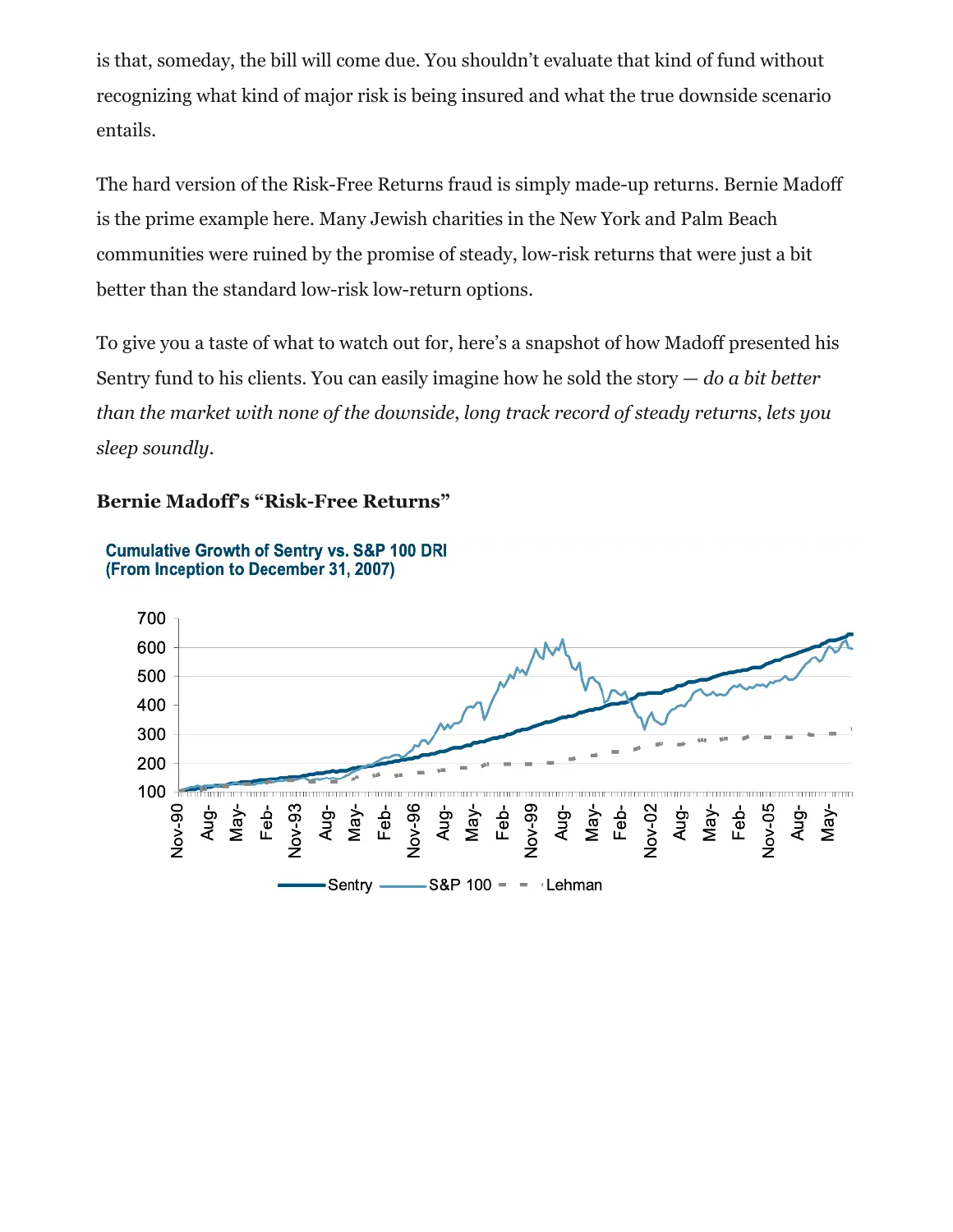is that, someday, the bill will come due. You shouldn't evaluate that kind of fund without recognizing what kind of major risk is being insured and what the true downside scenario entails.

The hard version of the Risk-Free Returns fraud is simply made-up returns. Bernie Madoff is the prime example here. Many Jewish charities in the New York and Palm Beach communities were ruined by the promise of steady, low-risk returns that were just a bit better than the standard low-risk low-return options.

To give you a taste of what to watch out for, here's a snapshot of how Madoff presented his Sentry fund to his clients. You can easily imagine how he sold the story — *do a bit better than the market with none of the downside*, *long track record of steady returns*, *lets you sleep soundly*.

#### **Bernie Madoff's "Risk-Free Returns"**



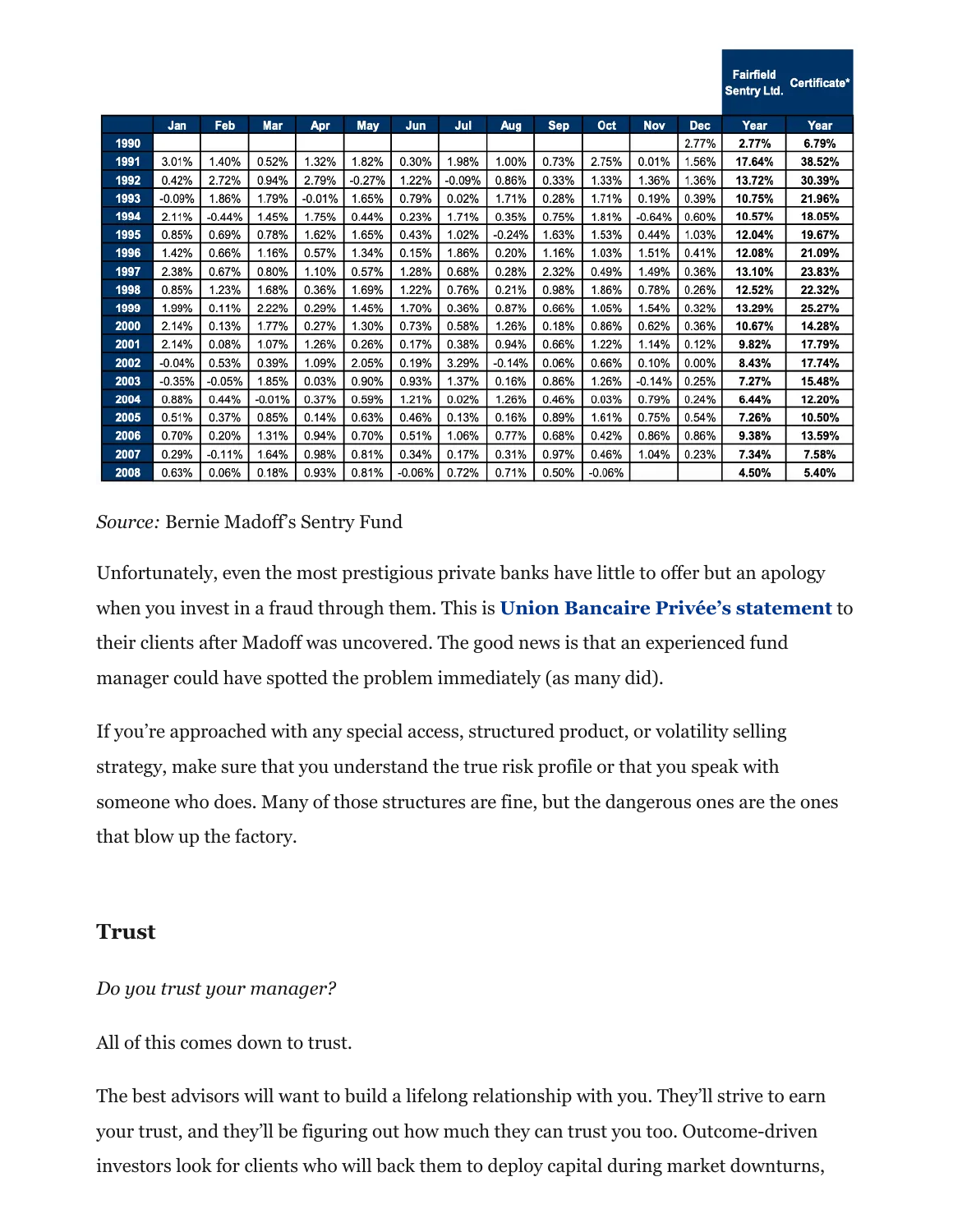|      |          |          |          |          |          |            |          |          |            |          |            |            | <b>Fairfield</b><br><b>Sentry Ltd.</b> | Certificate* |
|------|----------|----------|----------|----------|----------|------------|----------|----------|------------|----------|------------|------------|----------------------------------------|--------------|
|      | Jan      | Feb      | Mar      | Apr      | May      | <b>Jun</b> | Jul      | Aug      | <b>Sep</b> | Oct      | <b>Nov</b> | <b>Dec</b> | Year                                   | Year         |
| 1990 |          |          |          |          |          |            |          |          |            |          |            | 2.77%      | 2.77%                                  | 6.79%        |
| 1991 | 3.01%    | 1.40%    | 0.52%    | 1.32%    | 1.82%    | 0.30%      | 1.98%    | 1.00%    | 0.73%      | 2.75%    | 0.01%      | 1.56%      | 17.64%                                 | 38.52%       |
| 1992 | 0.42%    | 2.72%    | 0.94%    | 2.79%    | $-0.27%$ | 1.22%      | $-0.09%$ | 0.86%    | 0.33%      | 1.33%    | .36%       | 1.36%      | 13.72%                                 | 30.39%       |
| 1993 | $-0.09%$ | 1.86%    | 1.79%    | $-0.01%$ | 1.65%    | 0.79%      | 0.02%    | 1.71%    | 0.28%      | 1.71%    | 0.19%      | 0.39%      | 10.75%                                 | 21.96%       |
| 1994 | 2.11%    | $-0.44%$ | 1.45%    | 1.75%    | 0.44%    | 0.23%      | 1.71%    | 0.35%    | 0.75%      | 1.81%    | $-0.64%$   | 0.60%      | 10.57%                                 | 18.05%       |
| 1995 | 0.85%    | 0.69%    | 0.78%    | 1.62%    | 1.65%    | 0.43%      | 1.02%    | $-0.24%$ | 1.63%      | 1.53%    | 0.44%      | 1.03%      | 12.04%                                 | 19.67%       |
| 1996 | 1.42%    | 0.66%    | 1.16%    | 0.57%    | 1.34%    | 0.15%      | 1.86%    | 0.20%    | 1.16%      | 1.03%    | 1.51%      | 0.41%      | 12.08%                                 | 21.09%       |
| 1997 | 2.38%    | 0.67%    | 0.80%    | 1.10%    | 0.57%    | 1.28%      | 0.68%    | 0.28%    | 2.32%      | 0.49%    | 1.49%      | 0.36%      | 13.10%                                 | 23.83%       |
| 1998 | 0.85%    | 1.23%    | 1.68%    | 0.36%    | 1.69%    | 1.22%      | 0.76%    | 0.21%    | 0.98%      | 1.86%    | 0.78%      | 0.26%      | 12.52%                                 | 22.32%       |
| 1999 | 1.99%    | 0.11%    | 2.22%    | 0.29%    | 1.45%    | 1.70%      | 0.36%    | 0.87%    | 0.66%      | 1.05%    | 1.54%      | 0.32%      | 13.29%                                 | 25.27%       |
| 2000 | 2.14%    | 0.13%    | 1.77%    | 0.27%    | 1.30%    | 0.73%      | 0.58%    | 1.26%    | 0.18%      | 0.86%    | 0.62%      | 0.36%      | 10.67%                                 | 14.28%       |
| 2001 | 2.14%    | 0.08%    | 1.07%    | 1.26%    | 0.26%    | 0.17%      | 0.38%    | 0.94%    | 0.66%      | 1.22%    | 1.14%      | 0.12%      | 9.82%                                  | 17.79%       |
| 2002 | $-0.04%$ | 0.53%    | 0.39%    | 1.09%    | 2.05%    | 0.19%      | 3.29%    | $-0.14%$ | 0.06%      | 0.66%    | 0.10%      | 0.00%      | 8.43%                                  | 17.74%       |
| 2003 | $-0.35%$ | $-0.05%$ | 1.85%    | 0.03%    | 0.90%    | 0.93%      | 1.37%    | 0.16%    | 0.86%      | 1.26%    | $-0.14%$   | 0.25%      | 7.27%                                  | 15.48%       |
| 2004 | 0.88%    | 0.44%    | $-0.01%$ | 0.37%    | 0.59%    | 1.21%      | 0.02%    | 1.26%    | 0.46%      | 0.03%    | 0.79%      | 0.24%      | 6.44%                                  | 12.20%       |
| 2005 | 0.51%    | 0.37%    | 0.85%    | 0.14%    | 0.63%    | 0.46%      | 0.13%    | 0.16%    | 0.89%      | 1.61%    | 0.75%      | 0.54%      | 7.26%                                  | 10.50%       |
| 2006 | 0.70%    | 0.20%    | 1.31%    | 0.94%    | 0.70%    | 0.51%      | 1.06%    | 0.77%    | 0.68%      | 0.42%    | 0.86%      | 0.86%      | 9.38%                                  | 13.59%       |
| 2007 | 0.29%    | $-0.11%$ | 1.64%    | 0.98%    | 0.81%    | 0.34%      | 0.17%    | 0.31%    | 0.97%      | 0.46%    | 1.04%      | 0.23%      | 7.34%                                  | 7.58%        |
| 2008 | 0.63%    | 0.06%    | 0.18%    | 0.93%    | 0.81%    | $-0.06%$   | 0.72%    | 0.71%    | 0.50%      | $-0.06%$ |            |            | 4.50%                                  | 5.40%        |

#### *Source:* Bernie Madoff's Sentry Fund

Unfortunately, even the most prestigious private banks have little to offer but an apology when you invest in a fraud through them. This is **[Union Bancaire Privée's statement](https://www.dropbox.com/s/ffovoxxuyi0bdfx/2008-12%20Union%20Bancaire%20Privee%20-%20%20Investing%20with%20Madoff.pdf?dl=0)** to their clients after Madoff was uncovered. The good news is that an experienced fund manager could have spotted the problem immediately (as many did).

If you're approached with any special access, structured product, or volatility selling strategy, make sure that you understand the true risk profile or that you speak with someone who does. Many of those structures are fine, but the dangerous ones are the ones that blow up the factory.

#### **Trust**

#### *Do you trust your manager?*

All of this comes down to trust.

The best advisors will want to build a lifelong relationship with you. They'll strive to earn your trust, and they'll be figuring out how much they can trust you too. Outcome-driven investors look for clients who will back them to deploy capital during market downturns,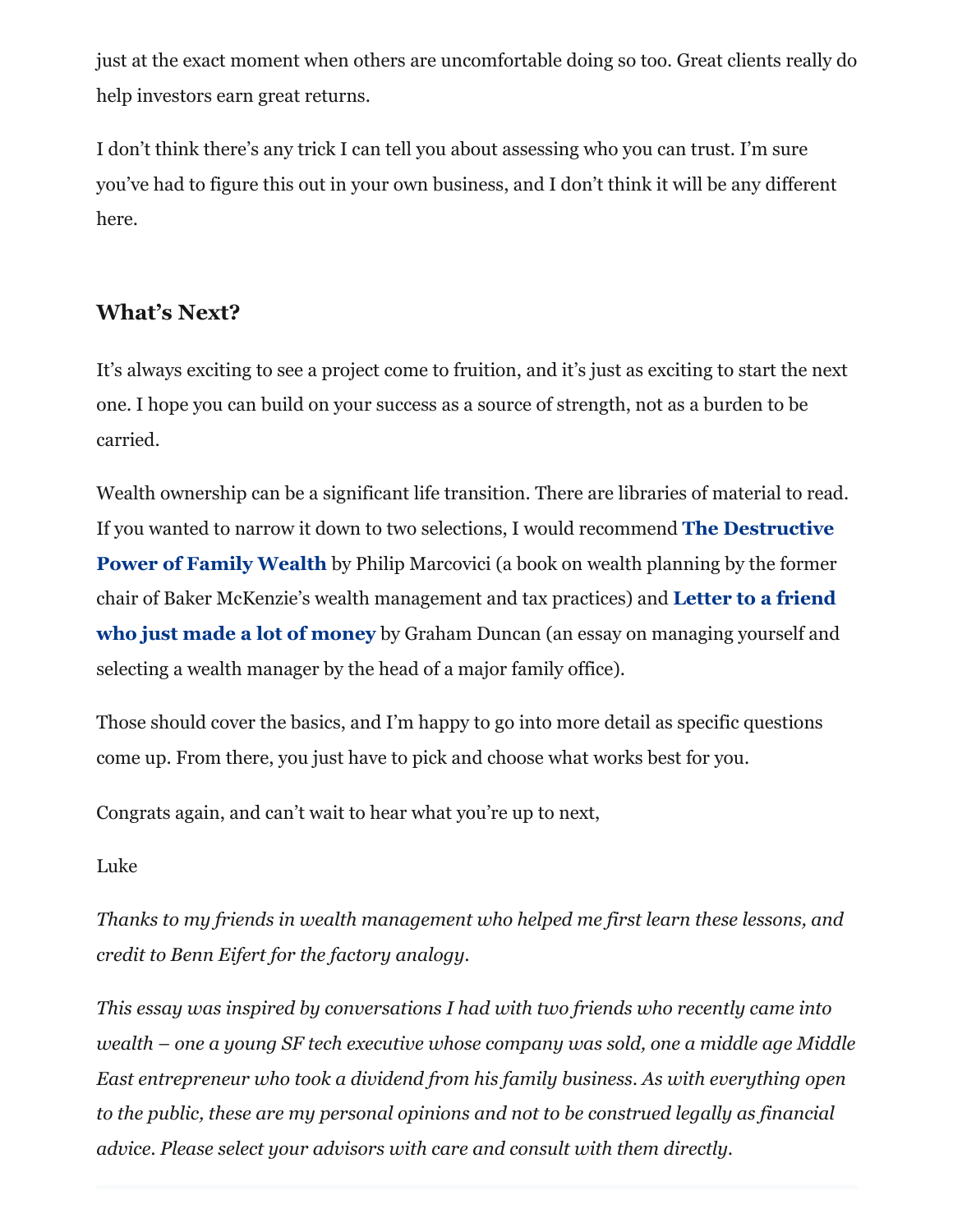just at the exact moment when others are uncomfortable doing so too. Great clients really do help investors earn great returns.

I don't think there's any trick I can tell you about assessing who you can trust. I'm sure you've had to figure this out in your own business, and I don't think it will be any different here.

## **What's Next?**

It's always exciting to see a project come to fruition, and it's just as exciting to start the next one. I hope you can build on your success as a source of strength, not as a burden to be carried.

Wealth ownership can be a significant life transition. There are libraries of material to read. [If you wanted to narrow it down to two selections, I would recommend](https://www.amazon.com/Destructive-Power-Family-Wealth-Succession/dp/1119327520) **The Destructive Power of Family Wealth** by Philip Marcovici (a book on wealth planning by the former [chair of Baker McKenzie's wealth management and tax practices\) and](https://grahamduncan.blog/letter-to-a-friend-who-just-made-a-lot-of-money/) **Letter to a friend who just made a lot of money** by Graham Duncan (an essay on managing yourself and selecting a wealth manager by the head of a major family office).

Those should cover the basics, and I'm happy to go into more detail as specific questions come up. From there, you just have to pick and choose what works best for you.

Congrats again, and can't wait to hear what you're up to next,

#### Luke

*Thanks to my friends in wealth management who helped me first learn these lessons, and credit to Benn Eifert for the factory analogy.*

*This essay was inspired by conversations I had with two friends who recently came into wealth – one a young SF tech executive whose company was sold, one a middle age Middle East entrepreneur who took a dividend from his family business. As with everything open to the public, these are my personal opinions and not to be construed legally as financial advice. Please select your advisors with care and consult with them directly.*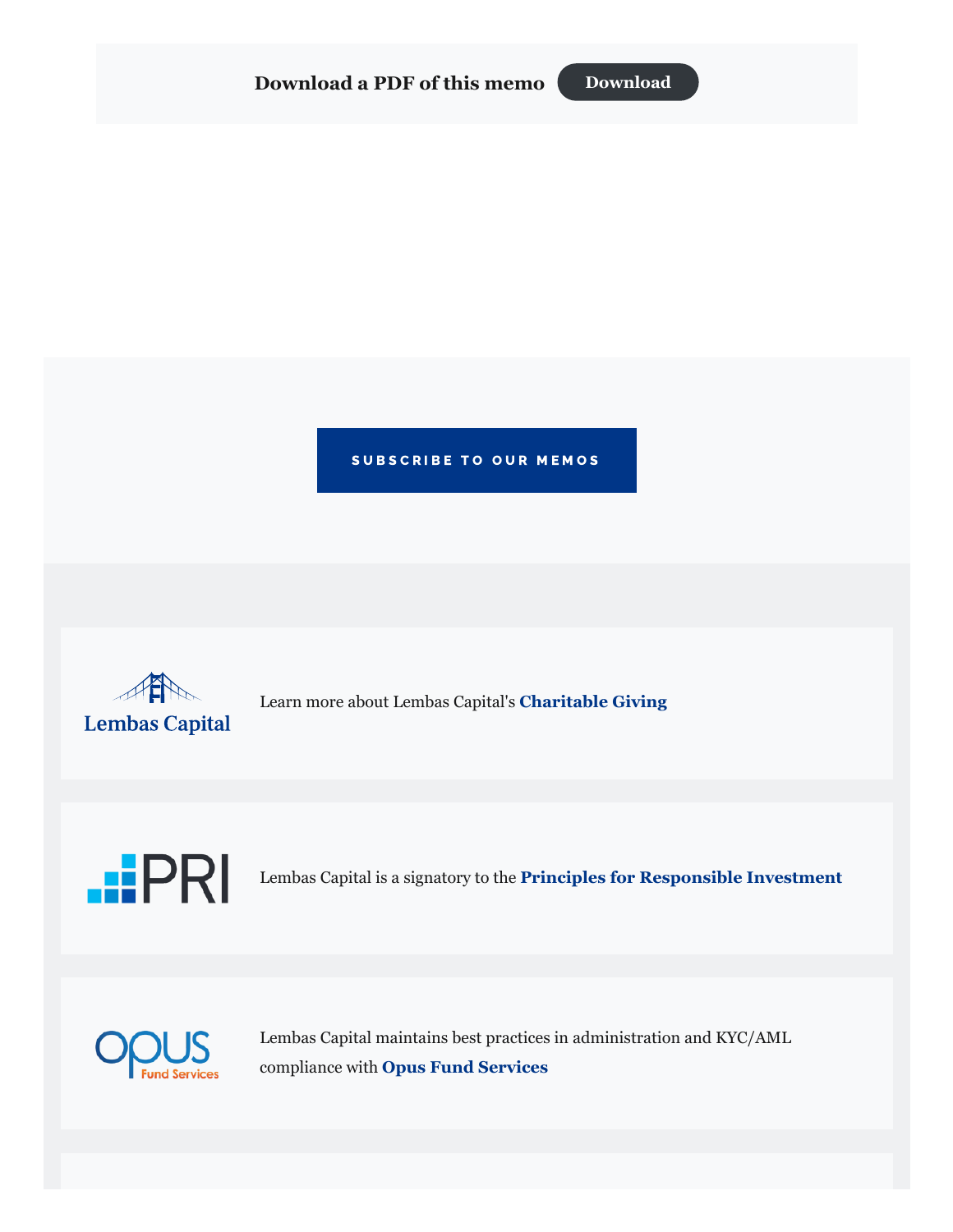

#### SUBSCRIBE TO OUR MEMOS



Learn more about Lembas Capital's **[Charitable Giving](https://lembascapital.com/img/Lembas-Capital-Charitable-Giving.pdf)**



Lembas Capital is a signatory to the **[Principles for Responsible Investment](https://www.unpri.org/)**



Lembas Capital maintains best practices in administration and KYC/AML compliance with **[Opus Fund Services](https://www.opusfundservices.com/)**